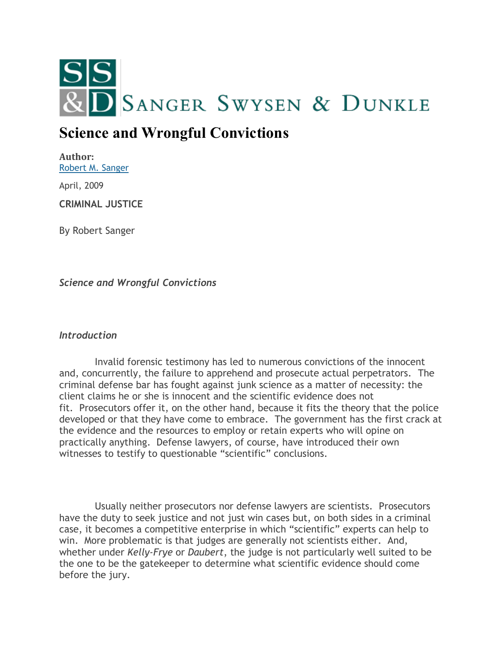

# **Science and Wrongful Convictions**

**Author:** [Robert M. Sanger](http://sangerswysen.com/robert-m-sanger)

April, 2009

**CRIMINAL JUSTICE**

By Robert Sanger

*Science and Wrongful Convictions*

## *Introduction*

 Invalid forensic testimony has led to numerous convictions of the innocent and, concurrently, the failure to apprehend and prosecute actual perpetrators. The criminal defense bar has fought against junk science as a matter of necessity: the client claims he or she is innocent and the scientific evidence does not fit. Prosecutors offer it, on the other hand, because it fits the theory that the police developed or that they have come to embrace. The government has the first crack at the evidence and the resources to employ or retain experts who will opine on practically anything. Defense lawyers, of course, have introduced their own witnesses to testify to questionable "scientific" conclusions.

 Usually neither prosecutors nor defense lawyers are scientists. Prosecutors have the duty to seek justice and not just win cases but, on both sides in a criminal case, it becomes a competitive enterprise in which "scientific" experts can help to win. More problematic is that judges are generally not scientists either. And, whether under *Kelly-Frye* or *Daubert*, the judge is not particularly well suited to be the one to be the gatekeeper to determine what scientific evidence should come before the jury.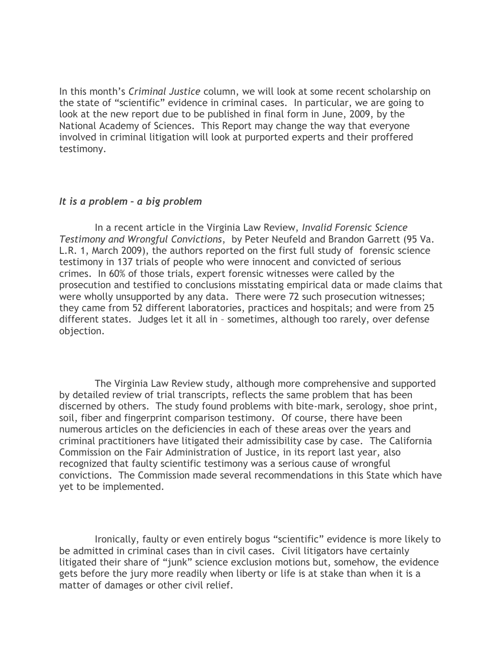In this month's *Criminal Justice* column, we will look at some recent scholarship on the state of "scientific" evidence in criminal cases. In particular, we are going to look at the new report due to be published in final form in June, 2009, by the National Academy of Sciences. This Report may change the way that everyone involved in criminal litigation will look at purported experts and their proffered testimony.

#### *It is a problem – a big problem*

 In a recent article in the Virginia Law Review, *Invalid Forensic Science Testimony and Wrongful Convictions*, by Peter Neufeld and Brandon Garrett (95 Va. L.R. 1, March 2009), the authors reported on the first full study of forensic science testimony in 137 trials of people who were innocent and convicted of serious crimes. In 60% of those trials, expert forensic witnesses were called by the prosecution and testified to conclusions misstating empirical data or made claims that were wholly unsupported by any data. There were 72 such prosecution witnesses; they came from 52 different laboratories, practices and hospitals; and were from 25 different states. Judges let it all in – sometimes, although too rarely, over defense objection.

 The Virginia Law Review study, although more comprehensive and supported by detailed review of trial transcripts, reflects the same problem that has been discerned by others. The study found problems with bite-mark, serology, shoe print, soil, fiber and fingerprint comparison testimony. Of course, there have been numerous articles on the deficiencies in each of these areas over the years and criminal practitioners have litigated their admissibility case by case. The California Commission on the Fair Administration of Justice, in its report last year, also recognized that faulty scientific testimony was a serious cause of wrongful convictions. The Commission made several recommendations in this State which have yet to be implemented.

 Ironically, faulty or even entirely bogus "scientific" evidence is more likely to be admitted in criminal cases than in civil cases. Civil litigators have certainly litigated their share of "junk" science exclusion motions but, somehow, the evidence gets before the jury more readily when liberty or life is at stake than when it is a matter of damages or other civil relief.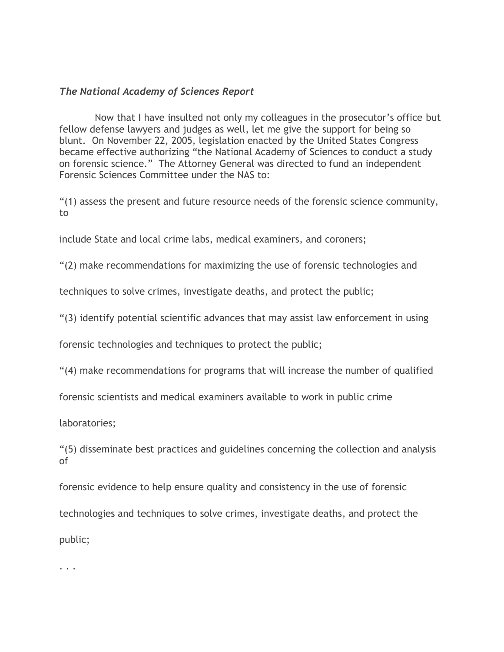## *The National Academy of Sciences Report*

 Now that I have insulted not only my colleagues in the prosecutor's office but fellow defense lawyers and judges as well, let me give the support for being so blunt. On November 22, 2005, legislation enacted by the United States Congress became effective authorizing "the National Academy of Sciences to conduct a study on forensic science." The Attorney General was directed to fund an independent Forensic Sciences Committee under the NAS to:

"(1) assess the present and future resource needs of the forensic science community, to

include State and local crime labs, medical examiners, and coroners;

"(2) make recommendations for maximizing the use of forensic technologies and

techniques to solve crimes, investigate deaths, and protect the public;

"(3) identify potential scientific advances that may assist law enforcement in using

forensic technologies and techniques to protect the public;

"(4) make recommendations for programs that will increase the number of qualified

forensic scientists and medical examiners available to work in public crime

laboratories;

"(5) disseminate best practices and guidelines concerning the collection and analysis of

forensic evidence to help ensure quality and consistency in the use of forensic technologies and techniques to solve crimes, investigate deaths, and protect the public;

. . .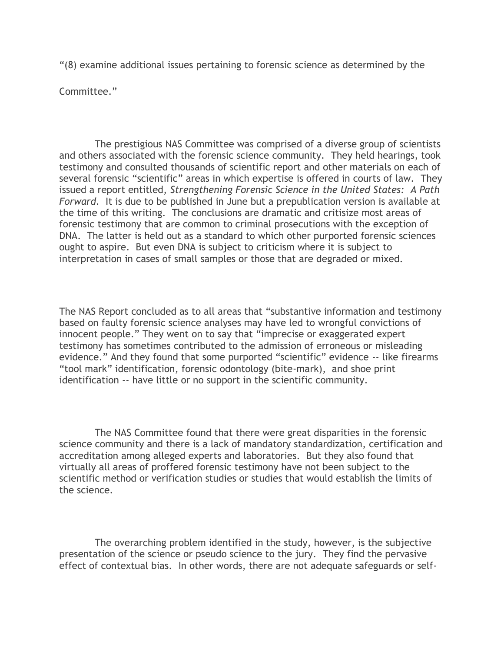"(8) examine additional issues pertaining to forensic science as determined by the

Committee."

 The prestigious NAS Committee was comprised of a diverse group of scientists and others associated with the forensic science community. They held hearings, took testimony and consulted thousands of scientific report and other materials on each of several forensic "scientific" areas in which expertise is offered in courts of law. They issued a report entitled, *Strengthening Forensic Science in the United States: A Path Forward.* It is due to be published in June but a prepublication version is available at the time of this writing. The conclusions are dramatic and critisize most areas of forensic testimony that are common to criminal prosecutions with the exception of DNA. The latter is held out as a standard to which other purported forensic sciences ought to aspire. But even DNA is subject to criticism where it is subject to interpretation in cases of small samples or those that are degraded or mixed.

The NAS Report concluded as to all areas that "substantive information and testimony based on faulty forensic science analyses may have led to wrongful convictions of innocent people." They went on to say that "imprecise or exaggerated expert testimony has sometimes contributed to the admission of erroneous or misleading evidence." And they found that some purported "scientific" evidence -- like firearms "tool mark" identification, forensic odontology (bite-mark), and shoe print identification -- have little or no support in the scientific community.

 The NAS Committee found that there were great disparities in the forensic science community and there is a lack of mandatory standardization, certification and accreditation among alleged experts and laboratories. But they also found that virtually all areas of proffered forensic testimony have not been subject to the scientific method or verification studies or studies that would establish the limits of the science.

 The overarching problem identified in the study, however, is the subjective presentation of the science or pseudo science to the jury. They find the pervasive effect of contextual bias. In other words, there are not adequate safeguards or self-